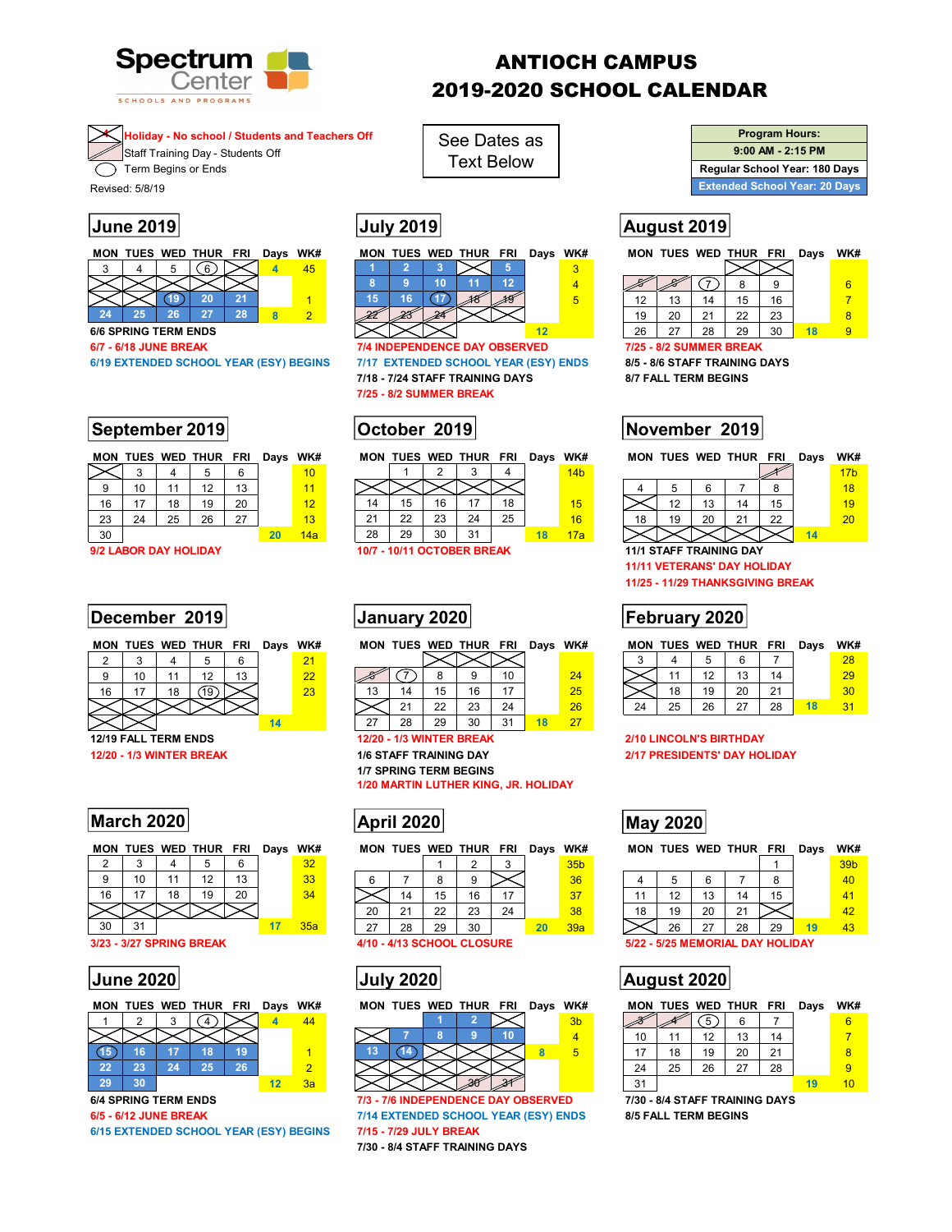

# ANTIOCH CAMPUS 2019-2020 SCHOOL CALENDAR

## **4 Holiday - No school / Students and Teachers Off**

**Staff Training Day - Students Off** Term Begins or Ends

Revised: 5/8/19

| <b>MON</b> |     |    | TUES WED THUR FRI |    | Days | WK# |
|------------|-----|----|-------------------|----|------|-----|
|            |     |    |                   |    |      | 15  |
|            |     |    |                   |    |      |     |
|            |     |    |                   |    |      |     |
| 24         | ソトン | 26 | דכ                | 28 |      |     |

**6/6 SPRING TERM ENDS** 12

# **September 2019 | October 2019 | November 2019**

|    |    |    | MON TUES WED THUR FRI |    | Days WK# |                 |
|----|----|----|-----------------------|----|----------|-----------------|
|    |    |    |                       | 6  |          | 10              |
| g  | 10 | 11 | 12                    | 13 |          | 11              |
| 16 | 17 | 18 | 19                    | 20 |          | 12 <sub>1</sub> |
| 23 | 24 | 25 | 26                    | 27 |          | 13              |
| 30 |    |    |                       |    | 20       | 14a             |

## **December 2019 | January 2020 | Tebruary 2020 | February 2020 |**

|  |   | 2 | ツツ |    |
|--|---|---|----|----|
|  | ິ |   |    | 13 |
|  |   |   |    |    |
|  |   |   |    |    |

## **March 2020 May 2020 May 2020 May 2020**

|    |    |    |    |    | 29  |  |
|----|----|----|----|----|-----|--|
|    | 10 |    | 12 | 13 | 33  |  |
| 16 |    | 18 | 19 | 20 | 34  |  |
|    |    |    |    |    |     |  |
|    |    |    |    |    | 35a |  |

|  |  | MON TUES WED THUR FRI Davs WK# |  |  |
|--|--|--------------------------------|--|--|
|  |  | $3 \mid (4) \times 7$          |  |  |
|  |  |                                |  |  |

|      | $\sim$ . |    |    |    |  |  |
|------|----------|----|----|----|--|--|
| (15) | 16       |    |    |    |  |  |
| 22   | 23       | 24 | 25 | 26 |  |  |
| 29   |          |    |    |    |  |  |

**6/15 EXTENDED SCHOOL YEAR (ESY) BEGINS 7/15 - 7/29 JULY BREAK** 

See Dates as Text Below

| RΙ | Davs | WK# |  |  | MON TUES WED THUR FRI | Days | WK# |  |  | MON TUES WED THUR FF |    |
|----|------|-----|--|--|-----------------------|------|-----|--|--|----------------------|----|
|    |      |     |  |  |                       |      |     |  |  |                      |    |
|    |      |     |  |  |                       |      |     |  |  |                      |    |
|    |      |     |  |  |                       |      |     |  |  |                      |    |
|    |      |     |  |  |                       |      |     |  |  |                      | n, |

1888 30 **6/7 - 6/18 JUNE BREAK 7/4 INDEPENDENCE DAY OBSERVED 7/25 - 8/2 SUMMER BREAK 6/19 EXTENDED SCHOOL YEAR (ESY) BEGINS 7/17 EXTENDED SCHOOL YEAR (ESY) ENDS 8/5 - 8/6 STAFF TRAINING DAYS 7/18 - 7/24 STAFF TRAINING DAYS 8/7 FALL TERM BEGINS 7/25 - 8/2 SUMMER BREAK** 

|    |     |    | MON TUES WED THUR FRI |                | Days | WK# |   |    |    | MON TUES WED THUR FRI |    | Days | WK#             |  |    |    | MON TUES WED THUR FRI |               | Days | WK#             |
|----|-----|----|-----------------------|----------------|------|-----|---|----|----|-----------------------|----|------|-----------------|--|----|----|-----------------------|---------------|------|-----------------|
|    |     |    |                       |                |      | 10  |   |    |    |                       |    |      | 14 <sub>b</sub> |  |    |    |                       |               |      | 17 <sub>b</sub> |
|    | ។ ក |    |                       | $\overline{ }$ |      |     |   |    |    |                       |    |      |                 |  |    |    |                       |               |      | 18              |
|    | . – | 18 | 19                    | 20             |      |     |   |    |    |                       | 18 |      |                 |  |    |    |                       | 15            |      | 19              |
| 23 | 24  | 25 | 26                    | $\sim$         |      |     | ົ | 22 | າາ | 24                    | 25 |      |                 |  | 19 | 20 |                       | $\Omega$<br>ے |      | $20^{\circ}$    |

18 17a

28 29 30 31 **18** 

|  | MON TUES WED THUR FRI Days WK# |  |  |
|--|--------------------------------|--|--|
|  | ~ ~ ~ ~                        |  |  |

| 6  |  |        |        |        |        |                |                 |       |    |
|----|--|--------|--------|--------|--------|----------------|-----------------|-------|----|
| 13 |  |        |        |        |        |                |                 |       |    |
|    |  |        |        |        |        |                |                 |       |    |
|    |  |        |        |        |        |                |                 |       | 24 |
|    |  | $\sim$ | $\sim$ | $\sim$ | $\sim$ | $\sim$ $\cdot$ | <b>ALCOHOL:</b> | $- -$ |    |

**1/20 MARTIN LUTHER KING, JR. HOLIDAY** 

| C<br>∼ | ⌒<br>u |    |                             |    | 32  |     |                        |         |           | $\sqrt{2}$ |          | 35 <sub>b</sub> |    |                       |                      |    |          |
|--------|--------|----|-----------------------------|----|-----|-----|------------------------|---------|-----------|------------|----------|-----------------|----|-----------------------|----------------------|----|----------|
| 9      | 10     | 44 | $\overline{10}$<br><u>.</u> | 13 | 33  |     |                        |         |           |            |          | 36              |    |                       |                      |    | $\Omega$ |
| 16     | $4 -$  | 18 | 19                          | 20 | 34  |     | 14                     | 15      | 16        | 17         |          | 37              |    | $\overline{a}$<br>. . | $\overline{a}$<br>∪ו | 14 | 15       |
|        |        |    |                             |    |     | 20  | $\Omega$<br><u> 21</u> | つつ<br>ᅩ | ົດລ<br>دے | 24         |          | 38              | 18 | 19                    | 20                   | 21 |          |
| 30     | 31     |    |                             |    | 35a | -27 | 28                     | 29      | 30        |            | חל<br>-- | 39a             |    | 26                    | 27                   | 28 | 29       |



**6/4 SPRING TERM ENDS 7/3 - 7/6 INDEPENDENCE DAY OBSERVED 7/30 - 8/4 STAFF TRAINING DAYS 6/5 - 6/12 JUNE BREAK 7/14 EXTENDED SCHOOL YEAR (ESY) ENDS 8/5 FALL TERM BEGINS 7/30 - 8/4 STAFF TRAINING DAYS** 

**Program Hours: 9:00 AM - 2:15 PM Regular School Year: 180 Days Extended School Year: 20 Days** 

# **June 2019 July 2019 August 2019**

|  | MON TUES WED THUR FRI | Days | WK# | MON |    | TUES WED THUR FRI | Days | WK# | MON |    | TUES WED THUR | <b>FRI</b> | Days | WK# |  |
|--|-----------------------|------|-----|-----|----|-------------------|------|-----|-----|----|---------------|------------|------|-----|--|
|  |                       |      | 45  |     |    |                   |      |     |     |    |               |            |      |     |  |
|  |                       |      |     |     |    |                   |      | æ   |     |    |               |            |      |     |  |
|  |                       |      |     |     |    |                   |      |     |     |    |               | 16         |      |     |  |
|  |                       |      |     |     | ว≉ |                   |      |     | 19  | 20 | nn<br>՟       | 23         |      |     |  |

26 27 28 29 30 **18** 9

|  | MON TUES WED THUR FRI Days WK# |  |  |
|--|--------------------------------|--|--|
|  |                                |  |  |

| 14 <sub>b</sub> |  |    |    |    | 17 <sub>b</sub> |  |
|-----------------|--|----|----|----|-----------------|--|
|                 |  |    | 6  |    | 18              |  |
| 15              |  | 12 | 13 | 15 |                 |  |
| 16              |  | 19 |    | 22 | 20              |  |
| <u> 17a</u>     |  |    |    |    |                 |  |

## **9/2 LABOR DAY HOLIDAY 10/7 - 10/11 OCTOBER BREAK 11/1 STAFF TRAINING DAY**

**11/11 VETERANS' DAY HOLIDAY** 

**11/25 - 11/29 THANKSGIVING BREAK** 

**MON TUES WED THUR FRI Days WK# MON TUES WED THUR FRI Days WK# MON TUES WED THUR FRI Days WK#** 

|    |    | 12 | 13 | 14 |  |  |
|----|----|----|----|----|--|--|
|    | 18 | 19 | 20 |    |  |  |
| 24 | 25 | 26 | 27 | 28 |  |  |

**12/19 FALL TERM ENDS 12/20 - 1/3 WINTER BREAK 2/10 LINCOLN'S BIRTHDAY 12/20 - 1/3 WINTER BREAK 1/6 STAFF TRAINING DAY 2/17 PRESIDENTS' DAY HOLIDAY** 

**MON TUES WED THUR FRI Days WK# MON TUES WED THUR FRI Days WK# MON TUES WED THUR FRI Days WK#** 

|    |    |    |    |    | 39 <sub>b</sub> |  |
|----|----|----|----|----|-----------------|--|
|    | 5  | 6  |    | 8  | 40              |  |
| 1  | 12 | 13 | 14 | 15 |                 |  |
| 18 | 19 | 20 |    |    | $42^{\circ}$    |  |
|    | 26 | 27 | 28 | 29 |                 |  |

**3/23 - 3/27 SPRING BREAK 4/10 - 4/13 SCHOOL CLOSURE 5/22 - 5/25 MEMORIAL DAY HOLIDAY** 

## **June 2020 July 2020 August 2020**

MON TUES WED THUR FRI Days WK# MON TUES WED THUR FRI Days WK#

|                                                |    |    |    |    |    | 6 |  |  |  |  |
|------------------------------------------------|----|----|----|----|----|---|--|--|--|--|
| 10                                             |    | 12 | 13 | 14 |    |   |  |  |  |  |
| 17                                             | 18 | 19 | 20 | 21 |    | 8 |  |  |  |  |
| 24                                             | 25 | 26 | 27 | 28 |    |   |  |  |  |  |
| 31                                             |    |    |    |    | 19 |   |  |  |  |  |
| <b><i>OIA CTACE TO AINING DAVE</i></b><br>7120 |    |    |    |    |    |   |  |  |  |  |

27 28 29 30 31 **18** 27

**1/7 SPRING TERM BEGINS**